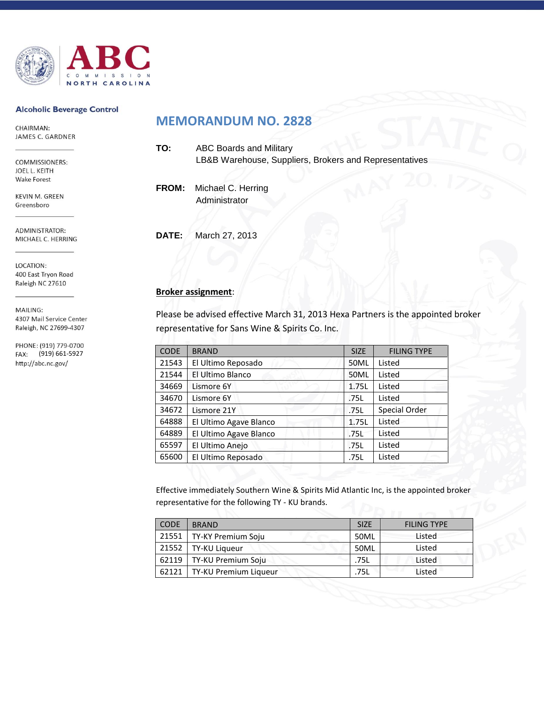

### **Alcoholic Beverage Control**

CHAIRMAN: JAMES C. GARDNER

COMMISSIONERS: JOEL L. KEITH **Wake Forest** 

**KEVIN M. GREEN** Greensboro

ADMINISTRATOR: MICHAEL C. HERRING

LOCATION: 400 East Tryon Road Raleigh NC 27610

MAILING: 4307 Mail Service Center Raleigh, NC 27699-4307

PHONE: (919) 779-0700 (919) 661-5927 http://abc.nc.gov/

## **MEMORANDUM NO. 2828**

| TO: | <b>ABC Boards and Military</b><br>LB&B Warehouse, Suppliers, Brokers and Representatives |
|-----|------------------------------------------------------------------------------------------|
|     | FROM: Michael C. Herring<br>Administrator                                                |

**DATE:** March 27, 2013

## **Broker assignment**:

Please be advised effective March 31, 2013 Hexa Partners is the appointed broker representative for Sans Wine & Spirits Co. Inc.

| <b>CODE</b> | <b>BRAND</b>           | <b>SIZE</b> | <b>FILING TYPE</b>   |
|-------------|------------------------|-------------|----------------------|
| 21543       | El Ultimo Reposado     | 50ML        | Listed               |
| 21544       | El Ultimo Blanco       | <b>50ML</b> | Listed               |
| 34669       | Lismore 6Y             | 1.75L       | Listed               |
| 34670       | Lismore 6Y             | .75L        | Listed               |
| 34672       | Lismore 21Y            | .75L        | <b>Special Order</b> |
| 64888       | El Ultimo Agave Blanco | 1.75L       | Listed               |
| 64889       | El Ultimo Agave Blanco | .75L        | Listed               |
| 65597       | El Ultimo Anejo        | .75L        | Listed               |
| 65600       | El Ultimo Reposado     | .75L        | Listed               |

Effective immediately Southern Wine & Spirits Mid Atlantic Inc, is the appointed broker representative for the following TY - KU brands.

| <b>CODE</b> | <b>BRAND</b>               | <b>SIZE</b> | <b>FILING TYPE</b> |
|-------------|----------------------------|-------------|--------------------|
|             | 21551   TY-KY Premium Soju | 50ML        | Listed             |
| 21552       | TY-KU Liqueur              | 50ML        | Listed             |
| 62119       | TY-KU Premium Soju         | .75L        | Listed             |
| 62121       | TY-KU Premium Liqueur      | .75L        | Listed             |